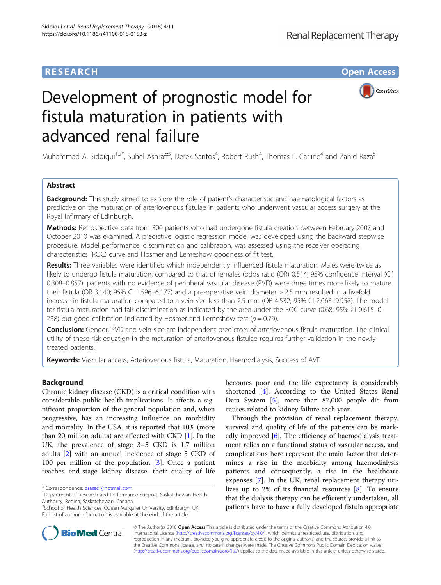# **RESEARCH CHE Open Access**



# Development of prognostic model for fistula maturation in patients with advanced renal failure

Muhammad A. Siddiqui<sup>1,2\*</sup>, Suhel Ashraff<sup>3</sup>, Derek Santos<sup>4</sup>, Robert Rush<sup>4</sup>, Thomas E. Carline<sup>4</sup> and Zahid Raza<sup>5</sup>

# Abstract

**Background:** This study aimed to explore the role of patient's characteristic and haematological factors as predictive on the maturation of arteriovenous fistulae in patients who underwent vascular access surgery at the Royal Infirmary of Edinburgh.

Methods: Retrospective data from 300 patients who had undergone fistula creation between February 2007 and October 2010 was examined. A predictive logistic regression model was developed using the backward stepwise procedure. Model performance, discrimination and calibration, was assessed using the receiver operating characteristics (ROC) curve and Hosmer and Lemeshow goodness of fit test.

Results: Three variables were identified which independently influenced fistula maturation. Males were twice as likely to undergo fistula maturation, compared to that of females (odds ratio (OR) 0.514; 95% confidence interval (CI) 0.308–0.857), patients with no evidence of peripheral vascular disease (PVD) were three times more likely to mature their fistula (OR 3.140; 95% CI 1.596–6.177) and a pre-operative vein diameter > 2.5 mm resulted in a fivefold increase in fistula maturation compared to a vein size less than 2.5 mm (OR 4.532; 95% CI 2.063–9.958). The model for fistula maturation had fair discrimination as indicated by the area under the ROC curve (0.68; 95% CI 0.615–0. 738) but good calibration indicated by Hosmer and Lemeshow test ( $p = 0.79$ ).

Conclusion: Gender, PVD and vein size are independent predictors of arteriovenous fistula maturation. The clinical utility of these risk equation in the maturation of arteriovenous fistulae requires further validation in the newly treated patients.

**Keywords:** Vascular access, Arteriovenous fistula, Maturation, Haemodialysis, Success of AVF

# Background

Chronic kidney disease (CKD) is a critical condition with considerable public health implications. It affects a significant proportion of the general population and, when progressive, has an increasing influence on morbidity and mortality. In the USA, it is reported that 10% (more than 20 million adults) are affected with CKD [\[1](#page-7-0)]. In the UK, the prevalence of stage 3–5 CKD is 1.7 million adults [[2\]](#page-7-0) with an annual incidence of stage 5 CKD of 100 per million of the population [\[3\]](#page-7-0). Once a patient reaches end-stage kidney disease, their quality of life

becomes poor and the life expectancy is considerably shortened [\[4](#page-7-0)]. According to the United States Renal Data System [[5\]](#page-7-0), more than 87,000 people die from causes related to kidney failure each year.

Through the provision of renal replacement therapy, survival and quality of life of the patients can be mark-edly improved [\[6\]](#page-7-0). The efficiency of haemodialysis treatment relies on a functional status of vascular access, and complications here represent the main factor that determines a rise in the morbidity among haemodialysis patients and consequently, a rise in the healthcare expenses [[7\]](#page-7-0). In the UK, renal replacement therapy utilizes up to 2% of its financial resources [\[8](#page-7-0)]. To ensure that the dialysis therapy can be efficiently undertaken, all patients have to have a fully developed fistula appropriate



© The Author(s). 2018 Open Access This article is distributed under the terms of the Creative Commons Attribution 4.0 International License [\(http://creativecommons.org/licenses/by/4.0/](http://creativecommons.org/licenses/by/4.0/)), which permits unrestricted use, distribution, and reproduction in any medium, provided you give appropriate credit to the original author(s) and the source, provide a link to the Creative Commons license, and indicate if changes were made. The Creative Commons Public Domain Dedication waiver [\(http://creativecommons.org/publicdomain/zero/1.0/](http://creativecommons.org/publicdomain/zero/1.0/)) applies to the data made available in this article, unless otherwise stated.

<sup>\*</sup> Correspondence: [drasadi@hotmail.com](mailto:drasadi@hotmail.com) <sup>1</sup>

<sup>&</sup>lt;sup>1</sup>Department of Research and Performance Support, Saskatchewan Health Authority, Regina, Saskatchewan, Canada

<sup>&</sup>lt;sup>2</sup>School of Health Sciences, Queen Margaret University, Edinburgh, UK Full list of author information is available at the end of the article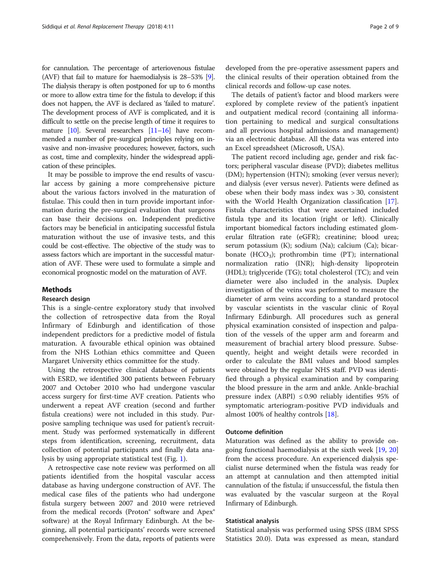for cannulation. The percentage of arteriovenous fistulae (AVF) that fail to mature for haemodialysis is 28–53% [[9](#page-7-0)]. The dialysis therapy is often postponed for up to 6 months or more to allow extra time for the fistula to develop; if this does not happen, the AVF is declared as 'failed to mature'. The development process of AVF is complicated, and it is difficult to settle on the precise length of time it requires to mature [\[10\]](#page-7-0). Several researchers [\[11](#page-7-0)–[16\]](#page-7-0) have recommended a number of pre-surgical principles relying on invasive and non-invasive procedures; however, factors, such as cost, time and complexity, hinder the widespread application of these principles.

It may be possible to improve the end results of vascular access by gaining a more comprehensive picture about the various factors involved in the maturation of fistulae. This could then in turn provide important information during the pre-surgical evaluation that surgeons can base their decisions on. Independent predictive factors may be beneficial in anticipating successful fistula maturation without the use of invasive tests, and this could be cost-effective. The objective of the study was to assess factors which are important in the successful maturation of AVF. These were used to formulate a simple and economical prognostic model on the maturation of AVF.

# Methods

# Research design

This is a single-centre exploratory study that involved the collection of retrospective data from the Royal Infirmary of Edinburgh and identification of those independent predictors for a predictive model of fistula maturation. A favourable ethical opinion was obtained from the NHS Lothian ethics committee and Queen Margaret University ethics committee for the study.

Using the retrospective clinical database of patients with ESRD, we identified 300 patients between February 2007 and October 2010 who had undergone vascular access surgery for first-time AVF creation. Patients who underwent a repeat AVF creation (second and further fistula creations) were not included in this study. Purposive sampling technique was used for patient's recruitment. Study was performed systematically in different steps from identification, screening, recruitment, data collection of potential participants and finally data analysis by using appropriate statistical test (Fig. [1\)](#page-2-0).

A retrospective case note review was performed on all patients identified from the hospital vascular access database as having undergone construction of AVF. The medical case files of the patients who had undergone fistula surgery between 2007 and 2010 were retrieved from the medical records (Proton® software and Apex® software) at the Royal Infirmary Edinburgh. At the beginning, all potential participants' records were screened comprehensively. From the data, reports of patients were

developed from the pre-operative assessment papers and the clinical results of their operation obtained from the clinical records and follow-up case notes.

The details of patient's factor and blood markers were explored by complete review of the patient's inpatient and outpatient medical record (containing all information pertaining to medical and surgical consultations and all previous hospital admissions and management) via an electronic database. All the data was entered into an Excel spreadsheet (Microsoft, USA).

The patient record including age, gender and risk factors; peripheral vascular disease (PVD); diabetes mellitus (DM); hypertension (HTN); smoking (ever versus never); and dialysis (ever versus never). Patients were defined as obese when their body mass index was > 30, consistent with the World Health Organization classification [\[17](#page-7-0)]. Fistula characteristics that were ascertained included fistula type and its location (right or left). Clinically important biomedical factors including estimated glomerular filtration rate (eGFR); creatinine; blood urea; serum potassium (K); sodium (Na); calcium (Ca); bicarbonate (HCO<sub>3</sub>); prothrombin time (PT); international normalization ratio (INR); high-density lipoprotein (HDL); triglyceride (TG); total cholesterol (TC); and vein diameter were also included in the analysis. Duplex investigation of the veins was performed to measure the diameter of arm veins according to a standard protocol by vascular scientists in the vascular clinic of Royal Infirmary Edinburgh. All procedures such as general physical examination consisted of inspection and palpation of the vessels of the upper arm and forearm and measurement of brachial artery blood pressure. Subsequently, height and weight details were recorded in order to calculate the BMI values and blood samples were obtained by the regular NHS staff. PVD was identified through a physical examination and by comparing the blood pressure in the arm and ankle. Ankle-brachial pressure index (ABPI)  $\leq 0.90$  reliably identifies 95% of symptomatic arteriogram-positive PVD individuals and almost 100% of healthy controls [\[18](#page-7-0)].

## Outcome definition

Maturation was defined as the ability to provide ongoing functional haemodialysis at the sixth week [[19](#page-7-0), [20](#page-7-0)] from the access procedure. An experienced dialysis specialist nurse determined when the fistula was ready for an attempt at cannulation and then attempted initial cannulation of the fistula; if unsuccessful, the fistula then was evaluated by the vascular surgeon at the Royal Infirmary of Edinburgh.

## Statistical analysis

Statistical analysis was performed using SPSS (IBM SPSS Statistics 20.0). Data was expressed as mean, standard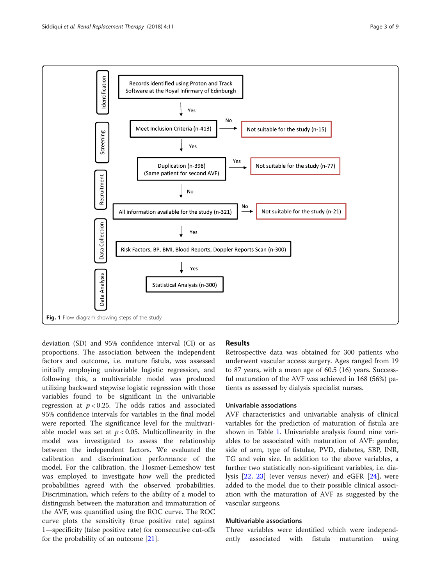<span id="page-2-0"></span>

deviation (SD) and 95% confidence interval (CI) or as proportions. The association between the independent factors and outcome, i.e. mature fistula, was assessed initially employing univariable logistic regression, and following this, a multivariable model was produced utilizing backward stepwise logistic regression with those variables found to be significant in the univariable regression at  $p < 0.25$ . The odds ratios and associated 95% confidence intervals for variables in the final model were reported. The significance level for the multivariable model was set at  $p < 0.05$ . Multicollinearity in the model was investigated to assess the relationship between the independent factors. We evaluated the calibration and discrimination performance of the model. For the calibration, the Hosmer-Lemeshow test was employed to investigate how well the predicted probabilities agreed with the observed probabilities. Discrimination, which refers to the ability of a model to distinguish between the maturation and immaturation of the AVF, was quantified using the ROC curve. The ROC curve plots the sensitivity (true positive rate) against 1—specificity (false positive rate) for consecutive cut-offs for the probability of an outcome [\[21](#page-7-0)].

# Results

Retrospective data was obtained for 300 patients who underwent vascular access surgery. Ages ranged from 19 to 87 years, with a mean age of 60.5 (16) years. Successful maturation of the AVF was achieved in 168 (56%) patients as assessed by dialysis specialist nurses.

# Univariable associations

AVF characteristics and univariable analysis of clinical variables for the prediction of maturation of fistula are shown in Table [1](#page-3-0). Univariable analysis found nine variables to be associated with maturation of AVF: gender, side of arm, type of fistulae, PVD, diabetes, SBP, INR, TG and vein size. In addition to the above variables, a further two statistically non-significant variables, i.e. dialysis [[22](#page-7-0), [23\]](#page-7-0) (ever versus never) and eGFR [[24](#page-7-0)], were added to the model due to their possible clinical association with the maturation of AVF as suggested by the vascular surgeons.

# Multivariable associations

Three variables were identified which were independently associated with fistula maturation using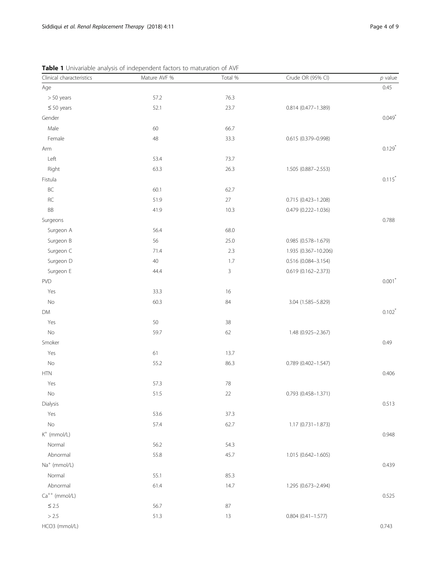| Clinical characteristics | Mature AVF % | Total % | Crude OR (95% CI)      | $p$ value            |
|--------------------------|--------------|---------|------------------------|----------------------|
| Age                      |              |         |                        | 0.45                 |
| > 50 years               | 57.2         | 76.3    |                        |                      |
| $\leq$ 50 years          | 52.1         | 23.7    | 0.814 (0.477-1.389)    |                      |
| Gender                   |              |         |                        | $0.049*$             |
| Male                     | 60           | 66.7    |                        |                      |
| Female                   | $48\,$       | 33.3    | 0.615 (0.379-0.998)    |                      |
| Arm                      |              |         |                        | $0.129$ <sup>*</sup> |
| Left                     | 53.4         | 73.7    |                        |                      |
| Right                    | 63.3         | 26.3    | 1.505 (0.887-2.553)    |                      |
| Fistula                  |              |         |                        | $0.115*$             |
| $\mathsf{BC}$            | 60.1         | 62.7    |                        |                      |
| $\mathsf{RC}$            | 51.9         | 27      | 0.715 (0.423-1.208)    |                      |
| BB                       | 41.9         | 10.3    | 0.479 (0.222-1.036)    |                      |
| Surgeons                 |              |         |                        | 0.788                |
| Surgeon A                | 56.4         | 68.0    |                        |                      |
| Surgeon B                | 56           | 25.0    | 0.985 (0.578-1.679)    |                      |
| Surgeon C                | 71.4         | 2.3     | 1.935 (0.367-10.206)   |                      |
| Surgeon D                | $40\,$       | 1.7     | 0.516 (0.084-3.154)    |                      |
| Surgeon E                | 44.4         | 3       | 0.619 (0.162-2.373)    |                      |
| PVD                      |              |         |                        | $0.001$ <sup>*</sup> |
| Yes                      | 33.3         | 16      |                        |                      |
| No                       | 60.3         | 84      | 3.04 (1.585-5.829)     |                      |
| DM                       |              |         |                        | $0.102$ <sup>*</sup> |
| Yes                      | 50           | 38      |                        |                      |
| $\rm No$                 | 59.7         | 62      | 1.48 (0.925-2.367)     |                      |
| Smoker                   |              |         |                        | 0.49                 |
| Yes                      | 61           | 13.7    |                        |                      |
| No                       | 55.2         | 86.3    | 0.789 (0.402-1.547)    |                      |
| <b>HTN</b>               |              |         |                        | 0.406                |
| Yes                      | 57.3         | 78      |                        |                      |
| $\rm No$                 | 51.5         | 22      | 0.793 (0.458-1.371)    |                      |
| Dialysis                 |              |         |                        | 0.513                |
| Yes                      | 53.6         | 37.3    |                        |                      |
| No                       | 57.4         | 62.7    | 1.17 (0.731-1.873)     |                      |
| $K^+$ (mmol/L)           |              |         |                        | 0.948                |
| Normal                   | 56.2         | 54.3    |                        |                      |
| Abnormal                 | 55.8         | 45.7    | 1.015 (0.642-1.605)    |                      |
| Na <sup>+</sup> (mmol/L) |              |         |                        | 0.439                |
| Normal                   | 55.1         | 85.3    |                        |                      |
| Abnormal                 | 61.4         | 14.7    | 1.295 (0.673-2.494)    |                      |
| $Ca^{++}$ (mmol/L)       |              |         |                        | 0.525                |
| $\leq 2.5$               | 56.7         | 87      |                        |                      |
| > 2.5                    | 51.3         | 13      | $0.804 (0.41 - 1.577)$ |                      |
| HCO3 (mmol/L)            |              |         |                        | 0.743                |

<span id="page-3-0"></span>Table 1 Univariable analysis of independent factors to maturation of AVF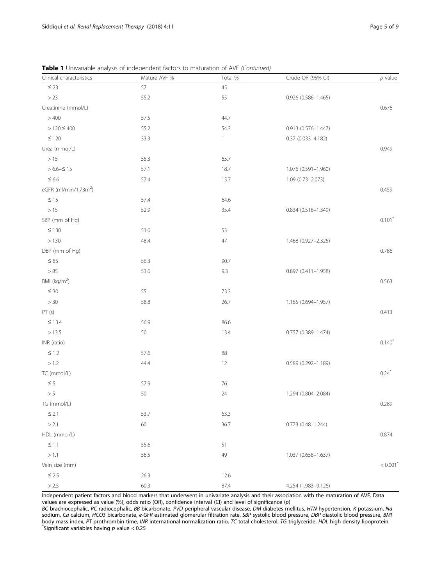| Clinical characteristics          | Mature AVF % | Total %      | Crude OR (95% CI)        | $p$ value              |
|-----------------------------------|--------------|--------------|--------------------------|------------------------|
| $\leq$ 23                         | 57           | 45           |                          |                        |
| $>23$                             | 55.2         | 55           | 0.926 (0.586-1.465)      |                        |
| Creatinine (mmol/L)               |              |              |                          | 0.676                  |
| >400                              | 57.5         | 44.7         |                          |                        |
| $> 120 \le 400$                   | 55.2         | 54.3         | 0.913 (0.576-1.447)      |                        |
| $\leq$ 120                        | 33.3         | $\mathbf{1}$ | $0.37$ $(0.033 - 4.182)$ |                        |
| Urea (mmol/L)                     |              |              |                          | 0.949                  |
| $>15$                             | 55.3         | 65.7         |                          |                        |
| $>6.6 - S 15$                     | 57.1         | 18.7         | 1.076 (0.591-1.960)      |                        |
| $\leq 6.6$                        | 57.4         | 15.7         | 1.09 (0.73-2.073)        |                        |
| eGFR (ml/min/1.73m <sup>2</sup> ) |              |              |                          | 0.459                  |
| $\leq$ 15                         | 57.4         | 64.6         |                          |                        |
| $>15\,$                           | 52.9         | 35.4         | 0.834 (0.516-1.349)      |                        |
| SBP (mm of Hg)                    |              |              |                          | $0.101$ *              |
| $\leq$ 130                        | 51.6         | 53           |                          |                        |
| $>130\,$                          | 48.4         | 47           | 1.468 (0.927-2.325)      |                        |
| DBP (mm of Hg)                    |              |              |                          | 0.786                  |
| $\leq 85$                         | 56.3         | 90.7         |                          |                        |
| $>85$                             | 53.6         | 9.3          | $0.897(0.411 - 1.958)$   |                        |
| BMI (kg/m <sup>2</sup> )          |              |              |                          | 0.563                  |
| $\leq$ 30                         | 55           | 73.3         |                          |                        |
| $>30\,$                           | 58.8         | 26.7         | 1.165 (0.694-1.957)      |                        |
| PT(s)                             |              |              |                          | 0.413                  |
| $\leq$ 13.4                       | 56.9         | 86.6         |                          |                        |
| > 13.5                            | 50           | 13.4         | 0.757 (0.389-1.474)      |                        |
| INR (ratio)                       |              |              |                          | $0.140^{*}$            |
| $\leq$ 1.2                        | 57.6         | 88           |                          |                        |
| > 1.2                             | 44.4         | 12           | 0.589 (0.292-1.189)      |                        |
| TC (mmol/L)                       |              |              |                          | $0.24$ <sup>*</sup>    |
| $\leq 5$                          | 57.9         | 76           |                          |                        |
| $> 5\,$                           | 50           | 24           | 1.294 (0.804-2.084)      |                        |
| TG (mmol/L)                       |              |              |                          | 0.289                  |
| $\leq$ 2.1                        | 53.7         | 63.3         |                          |                        |
| > 2.1                             | 60           | 36.7         | 0.773 (0.48-1.244)       |                        |
| HDL (mmol/L)                      |              |              |                          | 0.874                  |
| $\leq 1.1$                        | 55.6         | 51           |                          |                        |
| $>1.1\,$                          | 56.5         | 49           | 1.037 (0.658-1.637)      |                        |
| Vein size (mm)                    |              |              |                          | $< 0.001$ <sup>*</sup> |
| $\leq 2.5$                        | 26.3         | 12.6         |                          |                        |
| > 2.5                             | 60.3         | 87.4         | 4.254 (1.983-9.126)      |                        |

Table 1 Univariable analysis of independent factors to maturation of AVF (Continued)

Independent patient factors and blood markers that underwent in univariate analysis and their association with the maturation of AVF. Data values are expressed as value (%), odds ratio (OR), confidence interval (CI) and level of significance (p)

BC brachiocephalic, RC radiocephalic, BB bicarbonate, PVD peripheral vascular disease, DM diabetes mellitus, HTN hypertension, K potassium, Na sodium, Ca calcium, HCO3 bicarbonate, e-GFR estimated glomerular filtration rate, SBP systolic blood pressure, DBP diastolic blood pressure, BM body mass index, PT prothrombin time, INR international normalization ratio, TC total cholesterol, TG triglyceride, HDL high density lipoprotein<br>"Significant variables having navalue < 0.25  $\checkmark$ Significant variables having p value < 0.25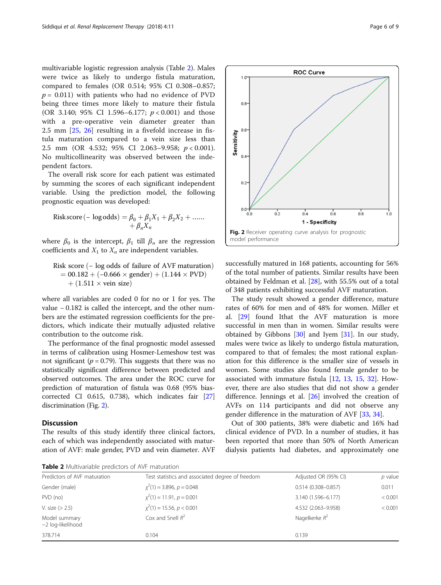multivariable logistic regression analysis (Table 2). Males were twice as likely to undergo fistula maturation, compared to females (OR 0.514; 95% CI 0.308–0.857;  $p = 0.011$ ) with patients who had no evidence of PVD being three times more likely to mature their fistula (OR 3.140; 95% CI 1.596-6.177;  $p < 0.001$ ) and those with a pre-operative vein diameter greater than 2.5 mm [[25,](#page-7-0) [26](#page-7-0)] resulting in a fivefold increase in fistula maturation compared to a vein size less than 2.5 mm (OR 4.532; 95% CI 2.063–9.958; p < 0.001). No multicollinearity was observed between the independent factors.

The overall risk score for each patient was estimated by summing the scores of each significant independent variable. Using the prediction model, the following prognostic equation was developed:

Risk score (- log odds) = 
$$
\beta_0 + \beta_1 X_1 + \beta_2 X_2 + \dots
$$
  
+  $\beta_n X_n$ 

where  $\beta_0$  is the intercept,  $\beta_1$  till  $\beta_n$  are the regression coefficients and  $X_1$  to  $X_n$  are independent variables.

Risk score  $($  – log odds of failure of AVF maturation)  $= 00.182 + (-0.666 \times \text{gender}) + (1.144 \times \text{PVD})$  $+ (1.511 \times \text{vein size})$ 

where all variables are coded 0 for no or 1 for yes. The value − 0.182 is called the intercept, and the other numbers are the estimated regression coefficients for the predictors, which indicate their mutually adjusted relative contribution to the outcome risk.

The performance of the final prognostic model assessed in terms of calibration using Hosmer-Lemeshow test was not significant ( $p = 0.79$ ). This suggests that there was no statistically significant difference between predicted and observed outcomes. The area under the ROC curve for prediction of maturation of fistula was 0.68 (95% biascorrected CI 0.615, 0.738), which indicates fair [[27](#page-7-0)] discrimination (Fig. 2).

# **Discussion**

The results of this study identify three clinical factors, each of which was independently associated with maturation of AVF: male gender, PVD and vein diameter. AVF



successfully matured in 168 patients, accounting for 56% of the total number of patients. Similar results have been obtained by Feldman et al. [[28](#page-7-0)], with 55.5% out of a total of 348 patients exhibiting successful AVF maturation.

The study result showed a gender difference, mature rates of 60% for men and of 48% for women. Miller et al. [[29](#page-7-0)] found Ithat the AVF maturation is more successful in men than in women. Similar results were obtained by Gibbons [[30\]](#page-7-0) and Iyem [[31\]](#page-7-0). In our study, males were twice as likely to undergo fistula maturation, compared to that of females; the most rational explanation for this difference is the smaller size of vessels in women. Some studies also found female gender to be associated with immature fistula [\[12,](#page-7-0) [13,](#page-7-0) [15,](#page-7-0) [32](#page-7-0)]. However, there are also studies that did not show a gender difference. Jennings et al. [\[26](#page-7-0)] involved the creation of AVFs on 114 participants and did not observe any gender difference in the maturation of AVF [[33,](#page-8-0) [34\]](#page-8-0).

Out of 300 patients, 38% were diabetic and 16% had clinical evidence of PVD. In a number of studies, it has been reported that more than 50% of North American dialysis patients had diabetes, and approximately one

**Table 2** Multivariable predictors of AVE maturation

| <b>Rable 2</b> <i>I</i> VIDITIVATIONE PREDICTORS OF AVE THAT DIRECTED |                                                  |                        |           |
|-----------------------------------------------------------------------|--------------------------------------------------|------------------------|-----------|
| Predictors of AVF maturation                                          | Test statistics and associated degree of freedom | Adjusted OR (95% CI)   | $p$ value |
| Gender (male)                                                         | $x^2(1) = 3.896, p = 0.048$                      | $0.514(0.308 - 0.857)$ | 0.011     |
| PVD (no)                                                              | $\chi^2(1) = 11.91, p = 0.001$                   | 3.140 (1.596-6.177)    | < 0.001   |
| V. size $(> 2.5)$                                                     | $\chi^2(1) = 15.56, p < 0.001$                   | 4.532 (2.063-9.958)    | < 0.001   |
| Model summary<br>-2 log-likelihood                                    | Cox and Snell $R^2$                              | Nagelkerke $R^2$       |           |
| 378.714                                                               | 0.104                                            | 0.139                  |           |
|                                                                       |                                                  |                        |           |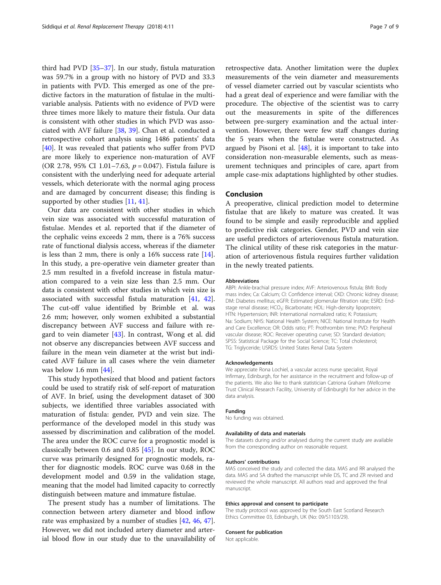third had PVD [[35](#page-8-0)–[37\]](#page-8-0). In our study, fistula maturation was 59.7% in a group with no history of PVD and 33.3 in patients with PVD. This emerged as one of the predictive factors in the maturation of fistulae in the multivariable analysis. Patients with no evidence of PVD were three times more likely to mature their fistula. Our data is consistent with other studies in which PVD was associated with AVF failure [[38](#page-8-0), [39\]](#page-8-0). Chan et al. conducted a retrospective cohort analysis using 1486 patients' data [[40\]](#page-8-0). It was revealed that patients who suffer from PVD are more likely to experience non-maturation of AVF (OR 2.78, 95% CI 1.01–7.63,  $p = 0.047$ ). Fistula failure is consistent with the underlying need for adequate arterial vessels, which deteriorate with the normal aging process and are damaged by concurrent disease; this finding is supported by other studies [\[11,](#page-7-0) [41\]](#page-8-0).

Our data are consistent with other studies in which vein size was associated with successful maturation of fistulae. Mendes et al. reported that if the diameter of the cephalic veins exceeds 2 mm, there is a 76% success rate of functional dialysis access, whereas if the diameter is less than 2 mm, there is only a 16% success rate [\[14](#page-7-0)]. In this study, a pre-operative vein diameter greater than 2.5 mm resulted in a fivefold increase in fistula maturation compared to a vein size less than 2.5 mm. Our data is consistent with other studies in which vein size is associated with successful fistula maturation [[41,](#page-8-0) [42](#page-8-0)]. The cut-off value identified by Brimble et al. was 2.6 mm; however, only women exhibited a substantial discrepancy between AVF success and failure with regard to vein diameter [[43\]](#page-8-0). In contrast, Wong et al. did not observe any discrepancies between AVF success and failure in the mean vein diameter at the wrist but indicated AVF failure in all cases where the vein diameter was below 1.6 mm [\[44\]](#page-8-0).

This study hypothesized that blood and patient factors could be used to stratify risk of self-report of maturation of AVF. In brief, using the development dataset of 300 subjects, we identified three variables associated with maturation of fistula: gender, PVD and vein size. The performance of the developed model in this study was assessed by discrimination and calibration of the model. The area under the ROC curve for a prognostic model is classically between 0.6 and 0.85 [[45](#page-8-0)]. In our study, ROC curve was primarily designed for prognostic models, rather for diagnostic models. ROC curve was 0.68 in the development model and 0.59 in the validation stage, meaning that the model had limited capacity to correctly distinguish between mature and immature fistulae.

The present study has a number of limitations. The connection between artery diameter and blood inflow rate was emphasized by a number of studies [\[42](#page-8-0), [46](#page-8-0), [47](#page-8-0)]. However, we did not included artery diameter and arterial blood flow in our study due to the unavailability of retrospective data. Another limitation were the duplex measurements of the vein diameter and measurements of vessel diameter carried out by vascular scientists who had a great deal of experience and were familiar with the procedure. The objective of the scientist was to carry out the measurements in spite of the differences between pre-surgery examination and the actual intervention. However, there were few staff changes during the 5 years when the fistulae were constructed. As argued by Pisoni et al. [[48\]](#page-8-0), it is important to take into consideration non-measurable elements, such as measurement techniques and principles of care, apart from ample case-mix adaptations highlighted by other studies.

# Conclusion

A preoperative, clinical prediction model to determine fistulae that are likely to mature was created. It was found to be simple and easily reproducible and applied to predictive risk categories. Gender, PVD and vein size are useful predictors of arteriovenous fistula maturation. The clinical utility of these risk categories in the maturation of arteriovenous fistula requires further validation in the newly treated patients.

#### Abbreviations

ABPI: Ankle-brachial pressure index; AVF: Arteriovenous fistula; BMI: Body mass index; Ca: Calcium; CI: Confidence interval; CKD: Chronic kidney disease; DM: Diabetes mellitus; eGFR: Estimated glomerular filtration rate; ESRD: Endstage renal disease; HCO<sub>3</sub>: Bicarbonate; HDL: High-density lipoprotein; HTN: Hypertension; INR: International normalized ratio; K: Potassium; Na: Sodium; NHS: National Health System; NICE: National Institute for Health and Care Excellence; OR: Odds ratio; PT: Prothrombin time; PVD: Peripheral vascular disease; ROC: Receiver operating curve; SD: Standard deviation; SPSS: Statistical Package for the Social Science; TC: Total cholesterol; TG: Triglyceride; USRDS: United States Renal Data System

#### Acknowledgements

We appreciate Rona Lochiel, a vascular access nurse specialist, Royal Infirmary, Edinburgh, for her assistance in the recruitment and follow-up of the patients. We also like to thank statistician Catriona Graham (Wellcome Trust Clinical Research Facility, University of Edinburgh) for her advice in the data analysis.

#### Funding

No funding was obtained.

#### Availability of data and materials

The datasets during and/or analysed during the current study are available from the corresponding author on reasonable request.

#### Authors' contributions

MAS conceived the study and collected the data. MAS and RR analysed the data. MAS and SA drafted the manuscript while DS, TC and ZR revised and reviewed the whole manuscript. All authors read and approved the final manuscript.

#### Ethics approval and consent to participate

The study protocol was approved by the South East Scotland Research Ethics Committee 03, Edinburgh, UK (No: 09/S1103/29).

## Consent for publication

Not applicable.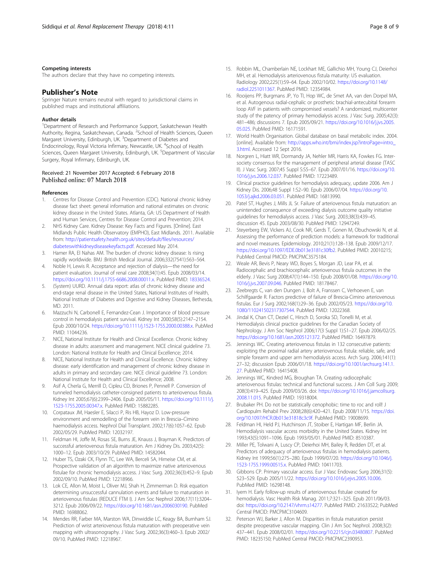#### <span id="page-7-0"></span>Competing interests

The authors declare that they have no competing interests.

## Publisher's Note

Springer Nature remains neutral with regard to jurisdictional claims in published maps and institutional affiliations.

#### Author details

<sup>1</sup>Department of Research and Performance Support, Saskatchewan Health Authority, Regina, Saskatchewan, Canada. <sup>2</sup>School of Health Sciences, Queen Margaret University, Edinburgh, UK. <sup>3</sup>Department of Diabetes and Endocrinology, Royal Victoria Infirmary, Newcastle, UK. <sup>4</sup>School of Health Sciences, Queen Margaret University, Edinburgh, UK. <sup>5</sup>Department of Vascular Surgery, Royal Infirmary, Edinburgh, UK.

## Received: 21 November 2017 Accepted: 6 February 2018 Published online: 07 March 2018

## References

- 1. Centres for Disease Control and Prevention (CDC). National chronic kidney disease fact sheet: general information and national estimates on chronic kidney disease in the United States. Atlanta, GA: US Department of Health and Human Services, Centres for Disease Control and Prevention; 2014.
- 2. NHS Kidney Care. Kidney Disease: Key Facts and Figures. [Online]. East Midlands Public Health Observatory (EMPHO), East Midlands. 2011. Available from: [http://patientsafety.health.org.uk/sites/default/files/resources/](http://patientsafety.health.org.uk/sites/default/files/resources/diabeteswithkidneydiseasekeyfacts.pdf) [diabeteswithkidneydiseasekeyfacts.pdf.](http://patientsafety.health.org.uk/sites/default/files/resources/diabeteswithkidneydiseasekeyfacts.pdf) Accessed May 2014.
- 3. Hamer RA, El Nahas AM. The burden of chronic kidney disease: Is rising rapidly worldwide. BMJ :British Medical Journal. 2006;332(7541):563–564.
- 4. Noble H, Lewis R. Acceptance and rejection of dialysis—the need for patient evaluation. Journal of renal care 2008;34(1):45. Epub 2008/03/14. <https://doi.org/10.1111/j.1755-6686.2008.00011.x>. PubMed PMID: [18336524](https://www.ncbi.nlm.nih.gov/pubmed/18336524).
- (System) UURD. Annual data report: atlas of chronic kidney disease and end-stage renal disease in the United States, National Institutes of Health, National Institute of Diabetes and Digestive and Kidney Diseases, Bethesda, MD. 2011.
- 6. Mazzuchi N, Carbonell E, Fernandez-Cean J. Importance of blood pressure control in hemodialysis patient survival. Kidney Int 2000;58(5):2147–2154. Epub 2000/10/24. [https://doi.org/10.1111/j.1523-1755.2000.00388.x.](https://doi.org/10.1111/j.1523-1755.2000.00388.x) PubMed PMID: 11044236.
- 7. NICE, National Institute for Health and Clinical Excellence. Chronic kidney disease in adults: assessment and management. NICE clinical guideline 73. London: National Institute for Health and Clinical Excellence; 2014.
- 8. NICE, National Institute for Health and Clinical Excellence. Chronic kidney disease: early identification and management of chronic kidney disease in adults in primary and secondary care. NICE clinical guideline 73. London: National Institute for Health and Clinical Excellence; 2008.
- Asif A, Cherla G, Merrill D, Cipleu CD, Briones P, Pennell P. Conversion of tunneled hemodialysis catheter-consigned patients to arteriovenous fistula. Kidney Int 2005;67(6):2399–2406. Epub 2005/05/11. [https://doi.org/10.1111/j.](https://doi.org/10.1111/j.1523-1755.2005.00347.x) [1523-1755.2005.00347.x](https://doi.org/10.1111/j.1523-1755.2005.00347.x). PubMed PMID: 15882285.
- 10. Corpataux JM, Haesler E, Silacci P, Ris HB, Hayoz D. Low-pressure environment and remodelling of the forearm vein in Brescia–Cimino haemodialysis access. Nephrol Dial Transplant. 2002;17(6):1057–62. Epub 2002/05/29. PubMed PMID: 12032197.
- 11. Feldman HI, Joffe M, Rosas SE, Burns JE, Knauss J, Brayman K. Predictors of successful arteriovenous fistula maturation. Am J Kidney Dis. 2003;42(5): 1000–12. Epub 2003/10/29. PubMed PMID: 14582044.
- 12. Huber TS, Ozaki CK, Flynn TC, Lee WA, Berceli SA, Hirneise CM, et al. Prospective validation of an algorithm to maximize native arteriovenous fistulae for chronic hemodialysis access. J Vasc Surg. 2002;36(3):452–9. Epub 2002/09/10. PubMed PMID: 12218966.
- 13. Lok CE, Allon M, Moist L, Oliver MJ, Shah H, Zimmerman D. Risk equation determining unsuccessful cannulation events and failure to maturation in arteriovenous fistulas (REDUCE FTM I). J Am Soc Nephrol 2006;17(11):3204– 3212. Epub 2006/09/22. <https://doi.org/10.1681/asn.2006030190>. PubMed PMID: 16988062.
- 14. Mendes RR, Farber MA, Marston WA, Dinwiddie LC, Keagy BA, Burnham SJ. Prediction of wrist arteriovenous fistula maturation with preoperative vein mapping with ultrasonography. J Vasc Surg. 2002;36(3):460–3. Epub 2002/ 09/10. PubMed PMID: 12218967.
- 
- 15. Robbin ML, Chamberlain NE, Lockhart ME, Gallichio MH, Young CJ, Deierhoi MH, et al. Hemodialysis arteriovenous fistula maturity: US evaluation. Radiology 2002;225(1):59–64. Epub 2002/10/02. [https://doi.org/10.1148/](https://doi.org/10.1148/radiol.2251011367) [radiol.2251011367.](https://doi.org/10.1148/radiol.2251011367) PubMed PMID: 12354984.
- 16. Rooijens PP, Burgmans JP, Yo TI, Hop WC, de Smet AA, van den Dorpel MA, et al. Autogenous radial-cephalic or prosthetic brachial-antecubital forearm loop AVF in patients with compromised vessels? A randomized, multicenter study of the patency of primary hemodialysis access. J Vasc Surg. 2005;42(3): 481–486; discussions 7. Epub 2005/09/21. [https://doi.org/10.1016/j.jvs.2005.](https://doi.org/10.1016/j.jvs.2005.05.025) [05.025](https://doi.org/10.1016/j.jvs.2005.05.025). PubMed PMID: 16171591.
- 17. World Health Organisation. Global database on basal metabolic index. 2004. [online]. Available from: [http://apps.who.int/bmi/index.jsp?introPage=intro\\_](http://apps.who.int/bmi/index.jsp?introPage=intro_3.html) [3.html.](http://apps.who.int/bmi/index.jsp?introPage=intro_3.html) Accessed 12 Sept 2016.
- 18. Norgren L, Hiatt WR, Dormandy JA, Nehler MR, Harris KA, Fowkes FG. Intersociety consensus for the management of peripheral arterial disease (TASC II). J Vasc Surg. 2007;45 Suppl S:S5–67. Epub 2007/01/16. [https://doi.org/10.](https://doi.org/10.1016/j.jvs.2006.12.037) [1016/j.jvs.2006.12.037](https://doi.org/10.1016/j.jvs.2006.12.037). PubMed PMID: 17223489.
- 19. Clinical practice guidelines for hemodialysis adequacy, update 2006. Am J Kidney Dis. 2006;48 Suppl 1:S2–90. Epub 2006/07/04. [https://doi.org/10.](https://doi.org/10.1053/j.ajkd.2006.03.051) [1053/j.ajkd.2006.03.051](https://doi.org/10.1053/j.ajkd.2006.03.051). PubMed PMID: 16813990.
- 20. Patel ST, Hughes J, Mills JL Sr. Failure of arteriovenous fistula maturation: an unintended consequence of exceeding dialysis outcome quality initiative guidelines for hemodialysis access. J Vasc Surg. 2003;38(3):439–45. discussion 45. Epub 2003/08/30. PubMed PMID: 12947249.
- 21. Steyerberg EW, Vickers AJ, Cook NR, Gerds T, Gonen M, Obuchowski N, et al. Assessing the performance of prediction models: a framework for traditional and novel measures. Epidemiology. 2010;21(1):128–138. Epub 2009/12/17. [https://doi.org/10.1097/EDE.0b013e3181c30fb2.](https://doi.org/10.1097/EDE.0b013e3181c30fb2) PubMed PMID: 20010215; PubMed Central PMCID: PMCPMC3575184.
- 22. Weale AR, Bevis P, Neary WD, Boyes S, Morgan JD, Lear PA, et al. Radiocephalic and brachiocephalic arteriovenous fistula outcomes in the elderly. J Vasc Surg 2008;47(1):144–150. Epub 2008/01/08. [https://doi.org/10.](https://doi.org/10.1016/j.jvs.2007.09.046) [1016/j.jvs.2007.09.046](https://doi.org/10.1016/j.jvs.2007.09.046). PubMed PMID: 18178467.
- 23. Zeebregts C, van den Dungen J, Bolt A, Franssen C, Verhoeven E, van Schilfgaarde R. Factors predictive of failure of Brescia-Cimino arteriovenous fistulas. Eur J Surg 2002;168(1):29–36. Epub 2002/05/23. [https://doi.org/10.](https://doi.org/10.1080/110241502317307544) [1080/110241502317307544](https://doi.org/10.1080/110241502317307544). PubMed PMID: 12022368.
- 24. Jindal K, Chan CT, Deziel C, Hirsch D, Soroka SD, Tonelli M, et al. Hemodialysis clinical practice guidelines for the Canadian Society of Nephrology. J Am Soc Nephrol 2006;17(3 Suppl 1):S1–27. Epub 2006/02/25. [https://doi.org/10.1681/asn.2005121372.](https://doi.org/10.1681/asn.2005121372) PubMed PMID: 16497879.
- 25. Jennings WC. Creating arteriovenous fistulas in 132 consecutive patients: exploiting the proximal radial artery arteriovenous fistula: reliable, safe, and simple forearm and upper arm hemodialysis access. Arch Surg. 2006;141(1): 27–32; discussion Epub 2006/01/18. [https://doi.org/10.1001/archsurg.141.1.](https://doi.org/10.1001/archsurg.141.1.27) [27.](https://doi.org/10.1001/archsurg.141.1.27) PubMed PMID: 16415408.
- 26. Jennings WC, Kindred MG, Broughan TA. Creating radiocephalic arteriovenous fistulas: technical and functional success. J Am Coll Surg 2009; 208(3):419–425. Epub 2009/03/26. doi: [https://doi.org/10.1016/j.jamcollsurg.](https://doi.org/10.1016/j.jamcollsurg.2008.11.015) [2008.11.015.](https://doi.org/10.1016/j.jamcollsurg.2008.11.015) PubMed PMID: 19318004.
- 27. Brubaker PH. Do not be statistically cenophobic: time to roc and roll! J Cardiopulm Rehabil Prev 2008;28(6):420–421. Epub 2008/11/15. [https://doi.](https://doi.org/10.1097/HCR.0b013e31818c3c9f) [org/10.1097/HCR.0b013e31818c3c9f](https://doi.org/10.1097/HCR.0b013e31818c3c9f). PubMed PMID: 19008699.
- 28. Feldman HI, Held PJ, Hutchinson JT, Stoiber E, Hartigan MF, Berlin JA. Hemodialysis vascular access morbidity in the United States. Kidney Int 1993;43(5):1091–1096. Epub 1993/05/01. PubMed PMID: 8510387.
- 29. Miller PE, Tolwani A, Luscy CP, Deierhoi MH, Bailey R, Redden DT, et al. Predictors of adequacy of arteriovenous fistulas in hemodialysis patients. Kidney Int 1999;56(1):275–280. Epub 1999/07/20. [https://doi.org/10.1046/j.](https://doi.org/10.1046/j.1523-1755.1999.00515.x) [1523-1755.1999.00515.x](https://doi.org/10.1046/j.1523-1755.1999.00515.x). PubMed PMID: 10411703.
- 30. Gibbons CP. Primary vascular access. Eur J Vasc Endovasc Surg 2006;31(5): 523–529. Epub 2005/11/22. <https://doi.org/10.1016/j.ejvs.2005.10.006>. PubMed PMID: 16298148.
- 31. Iyem H. Early follow-up results of arteriovenous fistulae created for hemodialysis. Vasc Health Risk Manag. 2011;7:321–325. Epub 2011/06/03. doi: <https://doi.org/10.2147/vhrm.s14277>. PubMed PMID: 21633522; PubMed Central PMCID: PMCPMC3104609.
- 32. Peterson WJ, Barker J, Allon M. Disparities in fistula maturation persist despite preoperative vascular mapping. Clin J Am Soc Nephrol. 2008;3(2): 437–441. Epub 2008/02/01. [https://doi.org/10.2215/cjn.03480807.](https://doi.org/10.2215/cjn.03480807) PubMed PMID: 18235150; PubMed Central PMCID: PMCPMC2390953.